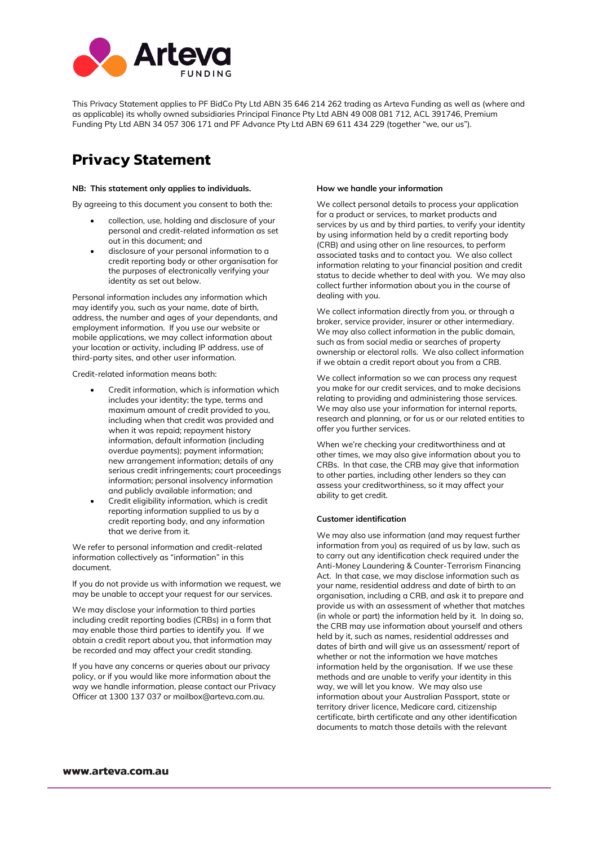

This Privacy Statement applies to PF BidCo Pty Ltd ABN 35 646 214 262 trading as Arteva Funding as well as (where and as applicable) its wholly owned subsidiaries Principal Finance Pty Ltd ABN 49 008 081 712, ACL 391746, Premium Funding Pty Ltd ABN 34 057 306 171 and PF Advance Pty Ltd ABN 69 611 434 229 (together "we, our us").

## **Privacy Statement**

#### **NB: This statement only applies to individuals.**

By agreeing to this document you consent to both the:

- collection, use, holding and disclosure of your personal and credit-related information as set out in this document; and
- disclosure of your personal information to a credit reporting body or other organisation for the purposes of electronically verifying your identity as set out below.

Personal information includes any information which may identify you, such as your name, date of birth, address, the number and ages of your dependants, and employment information. If you use our website or mobile applications, we may collect information about your location or activity, including IP address, use of third-party sites, and other user information.

Credit-related information means both:

- Credit information, which is information which includes your identity; the type, terms and maximum amount of credit provided to you, including when that credit was provided and when it was repaid; repayment history information, default information (including overdue payments); payment information; new arrangement information; details of any serious credit infringements; court proceedings information; personal insolvency information and publicly available information; and
- Credit eligibility information, which is credit reporting information supplied to us by a credit reporting body, and any information that we derive from it.

We refer to personal information and credit-related information collectively as "information" in this document.

If you do not provide us with information we request, we may be unable to accept your request for our services.

We may disclose your information to third parties including credit reporting bodies (CRBs) in a form that may enable those third parties to identify you. If we obtain a credit report about you, that information may be recorded and may affect your credit standing.

If you have any concerns or queries about our privacy policy, or if you would like more information about the way we handle information, please contact our Privacy Officer at 1300 137 037 o[r mailbox@arteva.com.au.](mailto:mailbox@arteva.com.au)

#### **How we handle your information**

We collect personal details to process your application for a product or services, to market products and services by us and by third parties, to verify your identity by using information held by a credit reporting body (CRB) and using other on line resources, to perform associated tasks and to contact you. We also collect information relating to your financial position and credit status to decide whether to deal with you. We may also collect further information about you in the course of dealing with you.

We collect information directly from you, or through a broker, service provider, insurer or other intermediary. We may also collect information in the public domain, such as from social media or searches of property ownership or electoral rolls. We also collect information if we obtain a credit report about you from a CRB.

We collect information so we can process any request you make for our credit services, and to make decisions relating to providing and administering those services. We may also use your information for internal reports, research and planning, or for us or our related entities to offer you further services.

When we're checking your creditworthiness and at other times, we may also give information about you to CRBs. In that case, the CRB may give that information to other parties, including other lenders so they can assess your creditworthiness, so it may affect your ability to get credit.

#### **Customer identification**

We may also use information (and may request further information from you) as required of us by law, such as to carry out any identification check required under the Anti-Money Laundering & Counter-Terrorism Financing Act. In that case, we may disclose information such as your name, residential address and date of birth to an organisation, including a CRB, and ask it to prepare and provide us with an assessment of whether that matches (in whole or part) the information held by it. In doing so, the CRB may use information about yourself and others held by it, such as names, residential addresses and dates of birth and will give us an assessment/ report of whether or not the information we have matches information held by the organisation. If we use these methods and are unable to verify your identity in this way, we will let you know. We may also use information about your Australian Passport, state or territory driver licence, Medicare card, citizenship certificate, birth certificate and any other identification documents to match those details with the relevant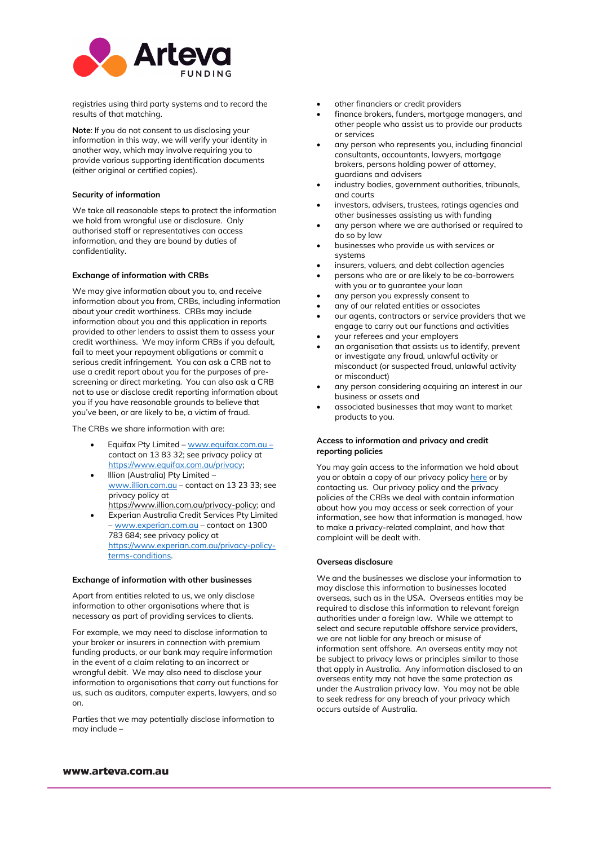

registries using third party systems and to record the results of that matching.

**Note**: If you do not consent to us disclosing your information in this way, we will verify your identity in another way, which may involve requiring you to provide various supporting identification documents (either original or certified copies).

## **Security of information**

We take all reasonable steps to protect the information we hold from wrongful use or disclosure. Only authorised staff or representatives can access information, and they are bound by duties of confidentiality.

#### **Exchange of information with CRBs**

We may give information about you to, and receive information about you from, CRBs, including information about your credit worthiness. CRBs may include information about you and this application in reports provided to other lenders to assist them to assess your credit worthiness. We may inform CRBs if you default, fail to meet your repayment obligations or commit a serious credit infringement. You can ask a CRB not to use a credit report about you for the purposes of prescreening or direct marketing. You can also ask a CRB not to use or disclose credit reporting information about you if you have reasonable grounds to believe that you've been, or are likely to be, a victim of fraud.

The CRBs we share information with are:

- Equifax Pty Limited  [www.equifax.com.au](http://www.equifax.com.au/)  contact on 13 83 32; see privacy policy at [https://www.equifax.com.au/privacy;](https://www.equifax.com.au/privacy)
- Illion (Australia) Pty Limited [www.illion.com.au –](http://www.illion.com.au/) contact o[n 13 23 33;](tel:13%2023%2033) see privacy policy at https://www.illion.com.au/privacy-policy; and
- Experian Australia Credit Services Pty Limited [– www.experian.com.au –](http://www.experian.com.au/) contact on [1300](tel:1300%20783%20684)  [783 684;](tel:1300%20783%20684) see privacy policy at [https://www.experian.com.au/privacy-policy](https://www.experian.com.au/privacy-policy-terms-conditions)[terms-conditions.](https://www.experian.com.au/privacy-policy-terms-conditions)

#### **Exchange of information with other businesses**

Apart from entities related to us, we only disclose information to other organisations where that is necessary as part of providing services to clients.

For example, we may need to disclose information to your broker or insurers in connection with premium funding products, or our bank may require information in the event of a claim relating to an incorrect or wrongful debit. We may also need to disclose your information to organisations that carry out functions for us, such as auditors, computer experts, lawyers, and so on.

Parties that we may potentially disclose information to may include –

- other financiers or credit providers
- finance brokers, funders, mortgage managers, and other people who assist us to provide our products or services
- any person who represents you, including financial consultants, accountants, lawyers, mortgage brokers, persons holding power of attorney, guardians and advisers
- industry bodies, government authorities, tribunals, and courts
- investors, advisers, trustees, ratings agencies and other businesses assisting us with funding
- any person where we are authorised or required to do so by law
- businesses who provide us with services or systems
- insurers, valuers, and debt collection agencies
- persons who are or are likely to be co-borrowers with you or to guarantee your loan
- any person you expressly consent to
- any of our related entities or associates
- our agents, contractors or service providers that we engage to carry out our functions and activities
- your referees and your employers
- an organisation that assists us to identify, prevent or investigate any fraud, unlawful activity or misconduct (or suspected fraud, unlawful activity or misconduct)
- any person considering acquiring an interest in our business or assets and
- associated businesses that may want to market products to you.

### **Access to information and privacy and credit reporting policies**

You may gain access to the information we hold about you or obtain a copy of our privacy polic[y here](https://arteva.com.au/assets/downloads/Arteva_privacy_statement_and_policy_170322.pdf) or by contacting us. Our privacy policy and the privacy policies of the CRBs we deal with contain information about how you may access or seek correction of your information, see how that information is managed, how to make a privacy-related complaint, and how that complaint will be dealt with.

## **Overseas disclosure**

We and the businesses we disclose your information to may disclose this information to businesses located overseas, such as in the USA. Overseas entities may be required to disclose this information to relevant foreign authorities under a foreign law. While we attempt to select and secure reputable offshore service providers, we are not liable for any breach or misuse of information sent offshore. An overseas entity may not be subject to privacy laws or principles similar to those that apply in Australia. Any information disclosed to an overseas entity may not have the same protection as under the Australian privacy law. You may not be able to seek redress for any breach of your privacy which occurs outside of Australia.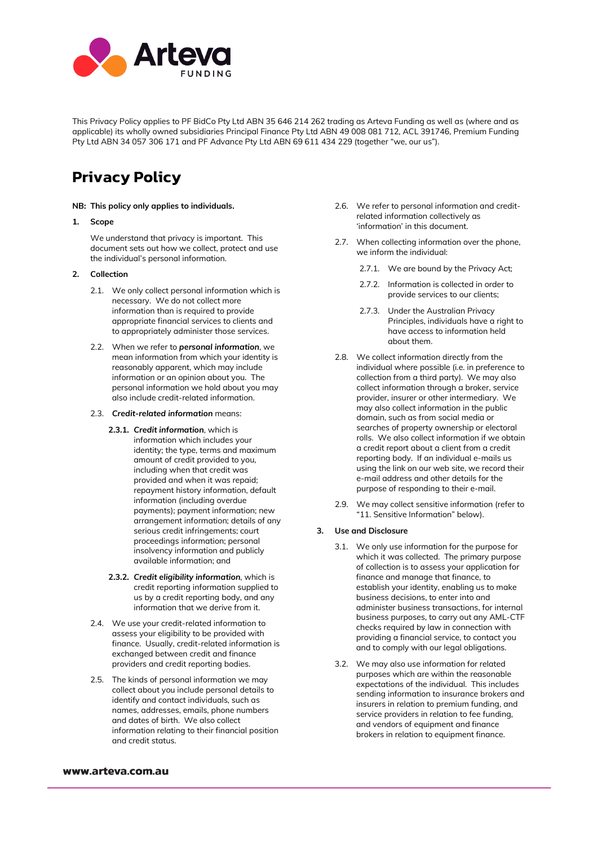

This Privacy Policy applies to PF BidCo Pty Ltd ABN 35 646 214 262 trading as Arteva Funding as well as (where and as applicable) its wholly owned subsidiaries Principal Finance Pty Ltd ABN 49 008 081 712, ACL 391746, Premium Funding Pty Ltd ABN 34 057 306 171 and PF Advance Pty Ltd ABN 69 611 434 229 (together "we, our us").

# **Privacy Policy**

## **NB: This policy only applies to individuals.**

## **1. Scope**

We understand that privacy is important. This document sets out how we collect, protect and use the individual's personal information.

## **2. Collection**

- 2.1. We only collect personal information which is necessary. We do not collect more information than is required to provide appropriate financial services to clients and to appropriately administer those services.
- 2.2. When we refer to *personal information*, we mean information from which your identity is reasonably apparent, which may include information or an opinion about you. The personal information we hold about you may also include credit-related information.
- 2.3. *Credit-related information* means:
	- **2.3.1.** *Credit information*, which is information which includes your identity; the type, terms and maximum amount of credit provided to you, including when that credit was provided and when it was repaid; repayment history information, default information (including overdue payments); payment information; new arrangement information; details of any serious credit infringements; court proceedings information; personal insolvency information and publicly available information; and
	- **2.3.2.** *Credit eligibility information,* which is credit reporting information supplied to us by a credit reporting body, and any information that we derive from it.
- 2.4. We use your credit-related information to assess your eligibility to be provided with finance. Usually, credit-related information is exchanged between credit and finance providers and credit reporting bodies.
- 2.5. The kinds of personal information we may collect about you include personal details to identify and contact individuals, such as names, addresses, emails, phone numbers and dates of birth. We also collect information relating to their financial position and credit status.
- 2.6. We refer to personal information and creditrelated information collectively as 'information' in this document.
- 2.7. When collecting information over the phone, we inform the individual:
	- 2.7.1. We are bound by the Privacy Act;
	- 2.7.2. Information is collected in order to provide services to our clients;
	- 2.7.3. Under the Australian Privacy Principles, individuals have a right to have access to information held about them.
- 2.8. We collect information directly from the individual where possible (i.e. in preference to collection from a third party). We may also collect information through a broker, service provider, insurer or other intermediary. We may also collect information in the public domain, such as from social media or searches of property ownership or electoral rolls. We also collect information if we obtain a credit report about a client from a credit reporting body. If an individual e-mails us using the link on our web site, we record their e-mail address and other details for the purpose of responding to their e-mail.
- 2.9. We may collect sensitive information (refer to "11. Sensitive Information" below).

## **3. Use and Disclosure**

- 3.1. We only use information for the purpose for which it was collected. The primary purpose of collection is to assess your application for finance and manage that finance, to establish your identity, enabling us to make business decisions, to enter into and administer business transactions, for internal business purposes, to carry out any AML-CTF checks required by law in connection with providing a financial service, to contact you and to comply with our legal obligations.
- 3.2. We may also use information for related purposes which are within the reasonable expectations of the individual. This includes sending information to insurance brokers and insurers in relation to premium funding, and service providers in relation to fee funding, and vendors of equipment and finance brokers in relation to equipment finance.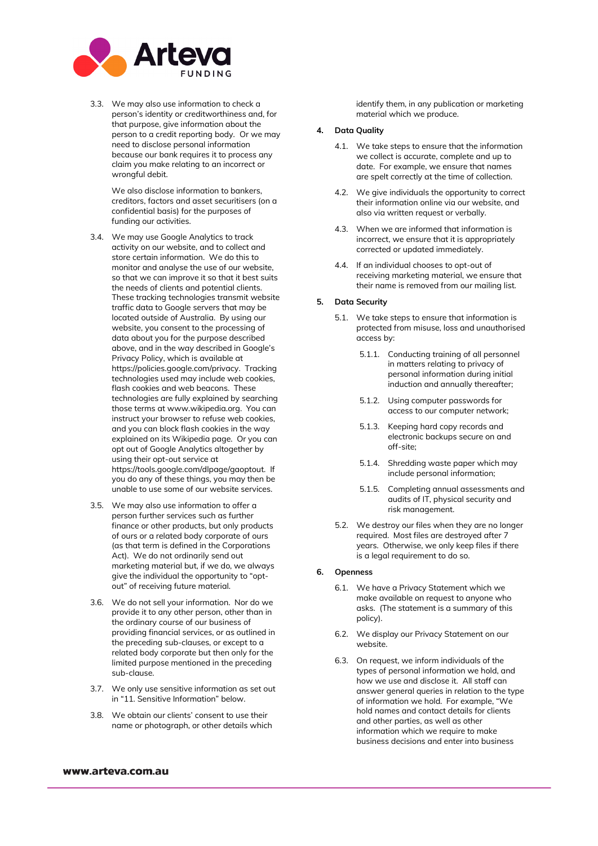

3.3. We may also use information to check a person's identity or creditworthiness and, for that purpose, give information about the person to a credit reporting body. Or we may need to disclose personal information because our bank requires it to process any claim you make relating to an incorrect or wrongful debit.

> We also disclose information to bankers, creditors, factors and asset securitisers (on a confidential basis) for the purposes of funding our activities.

- 3.4. We may use Google Analytics to track activity on our website, and to collect and store certain information. We do this to monitor and analyse the use of our website, so that we can improve it so that it best suits the needs of clients and potential clients. These tracking technologies transmit website traffic data to Google servers that may be located outside of Australia. By using our website, you consent to the processing of data about you for the purpose described above, and in the way described in Google's Privacy Policy, which is available at https://policies.google.com/privacy. Tracking technologies used may include web cookies, flash cookies and web beacons. These technologies are fully explained by searching those terms at www.wikipedia.org. You can instruct your browser to refuse web cookies, and you can block flash cookies in the way explained on its Wikipedia page. Or you can opt out of Google Analytics altogether by using their opt-out service at https://tools.google.com/dlpage/gaoptout. If you do any of these things, you may then be unable to use some of our website services.
- 3.5. We may also use information to offer a person further services such as further finance or other products, but only products of ours or a related body corporate of ours (as that term is defined in the Corporations Act). We do not ordinarily send out marketing material but, if we do, we always give the individual the opportunity to "optout" of receiving future material.
- 3.6. We do not sell your information. Nor do we provide it to any other person, other than in the ordinary course of our business of providing financial services, or as outlined in the preceding sub-clauses, or except to a related body corporate but then only for the limited purpose mentioned in the preceding sub-clause.
- 3.7. We only use sensitive information as set out in "11. Sensitive Information" below.
- 3.8. We obtain our clients' consent to use their name or photograph, or other details which

identify them, in any publication or marketing material which we produce.

## **4. Data Quality**

- 4.1. We take steps to ensure that the information we collect is accurate, complete and up to date. For example, we ensure that names are spelt correctly at the time of collection.
- 4.2. We give individuals the opportunity to correct their information online via our website, and also via written request or verbally.
- 4.3. When we are informed that information is incorrect, we ensure that it is appropriately corrected or updated immediately.
- 4.4. If an individual chooses to opt-out of receiving marketing material, we ensure that their name is removed from our mailing list.

## **5. Data Security**

- 5.1. We take steps to ensure that information is protected from misuse, loss and unauthorised access by:
	- 5.1.1. Conducting training of all personnel in matters relating to privacy of personal information during initial induction and annually thereafter;
	- 5.1.2. Using computer passwords for access to our computer network;
	- 5.1.3. Keeping hard copy records and electronic backups secure on and off-site;
	- 5.1.4. Shredding waste paper which may include personal information;
	- 5.1.5. Completing annual assessments and audits of IT, physical security and risk management.
- 5.2. We destroy our files when they are no longer required. Most files are destroyed after 7 years. Otherwise, we only keep files if there is a legal requirement to do so.

## **6. Openness**

- 6.1. We have a Privacy Statement which we make available on request to anyone who asks. (The statement is a summary of this policy).
- 6.2. We display our Privacy Statement on our website.
- 6.3. On request, we inform individuals of the types of personal information we hold, and how we use and disclose it. All staff can answer general queries in relation to the type of information we hold. For example, "We hold names and contact details for clients and other parties, as well as other information which we require to make business decisions and enter into business

#### www.arteva.com.au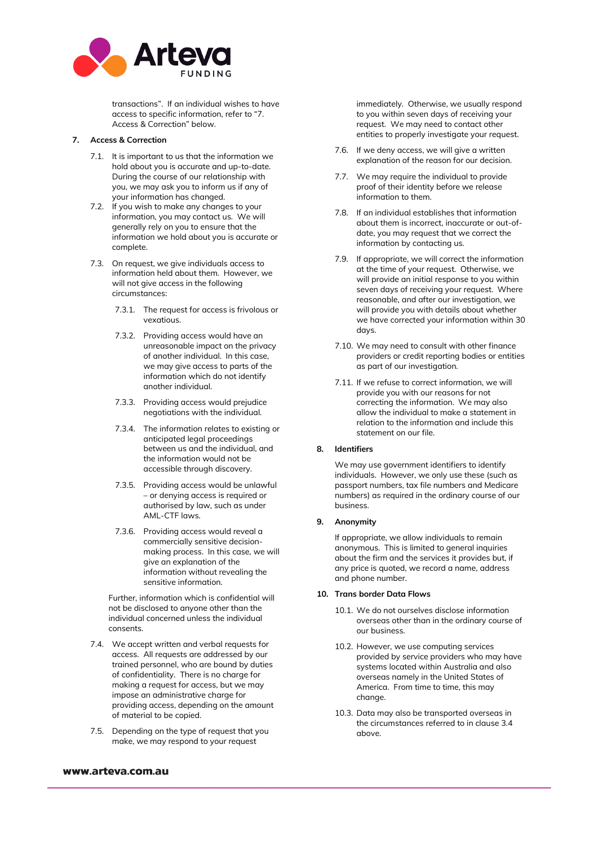

transactions". If an individual wishes to have access to specific information, refer to "7. Access & Correction" below.

## **7. Access & Correction**

- 7.1. It is important to us that the information we hold about you is accurate and up-to-date. During the course of our relationship with you, we may ask you to inform us if any of your information has changed.
- 7.2. If you wish to make any changes to your information, you may contact us. We will generally rely on you to ensure that the information we hold about you is accurate or complete.
- 7.3. On request, we give individuals access to information held about them. However, we will not give access in the following circumstances:
	- 7.3.1. The request for access is frivolous or vexatious.
	- 7.3.2. Providing access would have an unreasonable impact on the privacy of another individual. In this case, we may give access to parts of the information which do not identify another individual.
	- 7.3.3. Providing access would prejudice negotiations with the individual.
	- 7.3.4. The information relates to existing or anticipated legal proceedings between us and the individual, and the information would not be accessible through discovery.
	- 7.3.5. Providing access would be unlawful – or denying access is required or authorised by law, such as under AML-CTF laws.
	- 7.3.6. Providing access would reveal a commercially sensitive decisionmaking process. In this case, we will give an explanation of the information without revealing the sensitive information.

Further, information which is confidential will not be disclosed to anyone other than the individual concerned unless the individual consents.

- 7.4. We accept written and verbal requests for access. All requests are addressed by our trained personnel, who are bound by duties of confidentiality. There is no charge for making a request for access, but we may impose an administrative charge for providing access, depending on the amount of material to be copied.
- 7.5. Depending on the type of request that you make, we may respond to your request

## immediately. Otherwise, we usually respond to you within seven days of receiving your request. We may need to contact other entities to properly investigate your request.

- 7.6. If we deny access, we will give a written explanation of the reason for our decision.
- 7.7. We may require the individual to provide proof of their identity before we release information to them.
- 7.8. If an individual establishes that information about them is incorrect, inaccurate or out-ofdate, you may request that we correct the information by contacting us.
- 7.9. If appropriate, we will correct the information at the time of your request. Otherwise, we will provide an initial response to you within seven days of receiving your request. Where reasonable, and after our investigation, we will provide you with details about whether we have corrected your information within 30 days.
- 7.10. We may need to consult with other finance providers or credit reporting bodies or entities as part of our investigation.
- 7.11. If we refuse to correct information, we will provide you with our reasons for not correcting the information. We may also allow the individual to make a statement in relation to the information and include this statement on our file.

## **8. Identifiers**

We may use government identifiers to identify individuals. However, we only use these (such as passport numbers, tax file numbers and Medicare numbers) as required in the ordinary course of our business.

#### **9. Anonymity**

If appropriate, we allow individuals to remain anonymous. This is limited to general inquiries about the firm and the services it provides but, if any price is quoted, we record a name, address and phone number.

#### **10. Trans border Data Flows**

- 10.1. We do not ourselves disclose information overseas other than in the ordinary course of our business.
- 10.2. However, we use computing services provided by service providers who may have systems located within Australia and also overseas namely in the United States of America. From time to time, this may change.
- 10.3. Data may also be transported overseas in the circumstances referred to in clause 3.4 above.

## www.arteva.com.au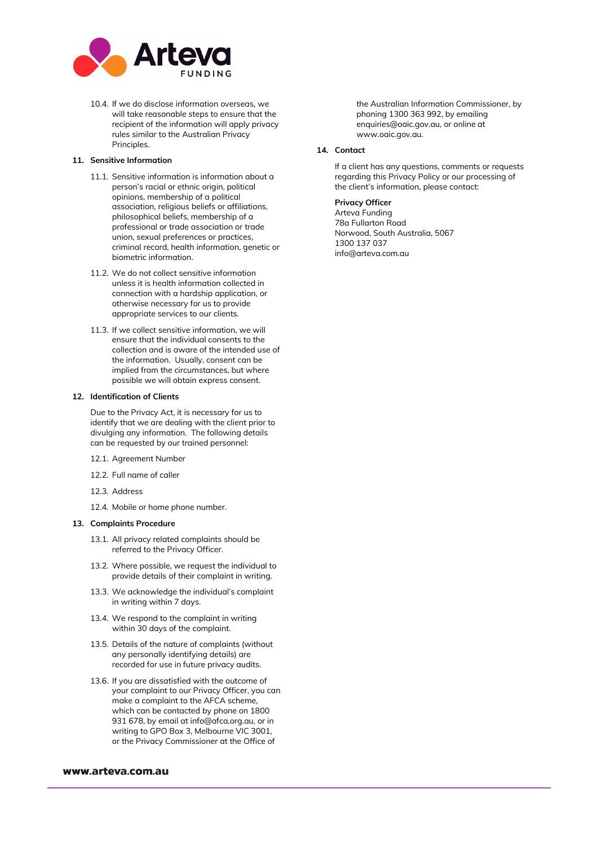

10.4. If we do disclose information overseas, we will take reasonable steps to ensure that the recipient of the information will apply privacy rules similar to the Australian Privacy Principles.

### **11. Sensitive Information**

- 11.1. Sensitive information is information about a person's racial or ethnic origin, political opinions, membership of a political association, religious beliefs or affiliations, philosophical beliefs, membership of a professional or trade association or trade union, sexual preferences or practices, criminal record, health information, genetic or biometric information.
- 11.2. We do not collect sensitive information unless it is health information collected in connection with a hardship application, or otherwise necessary for us to provide appropriate services to our clients.
- 11.3. If we collect sensitive information, we will ensure that the individual consents to the collection and is aware of the intended use of the information. Usually, consent can be implied from the circumstances, but where possible we will obtain express consent.

#### **12. Identification of Clients**

Due to the Privacy Act, it is necessary for us to identify that we are dealing with the client prior to divulging any information. The following details can be requested by our trained personnel:

- 12.1. Agreement Number
- 12.2. Full name of caller
- 12.3. Address
- 12.4. Mobile or home phone number.

## **13. Complaints Procedure**

- 13.1. All privacy related complaints should be referred to the Privacy Officer.
- 13.2. Where possible, we request the individual to provide details of their complaint in writing.
- 13.3. We acknowledge the individual's complaint in writing within 7 days.
- 13.4. We respond to the complaint in writing within 30 days of the complaint.
- 13.5. Details of the nature of complaints (without any personally identifying details) are recorded for use in future privacy audits.
- 13.6. If you are dissatisfied with the outcome of your complaint to our Privacy Officer, you can make a complaint to the AFCA scheme, which can be contacted by phone on 1800 931 678, by email at info@afca.org.au, or in writing to GPO Box 3, Melbourne VIC 3001, or the Privacy Commissioner at the Office of

#### www.arteva.com.au

the Australian Information Commissioner, by phoning 1300 363 992, by emailing [enquiries@oaic.gov.au,](mailto:enquiries@oaic.gov.au) or online at [www.oaic.gov.au.](http://www.oaic.gov.au/)

## **14. Contact**

If a client has any questions, comments or requests regarding this Privacy Policy or our processing of the client's information, please contact:

## **Privacy Officer**

Arteva Funding 78a Fullarton Road Norwood, South Australia, 5067 1300 137 037 info@arteva.com.au